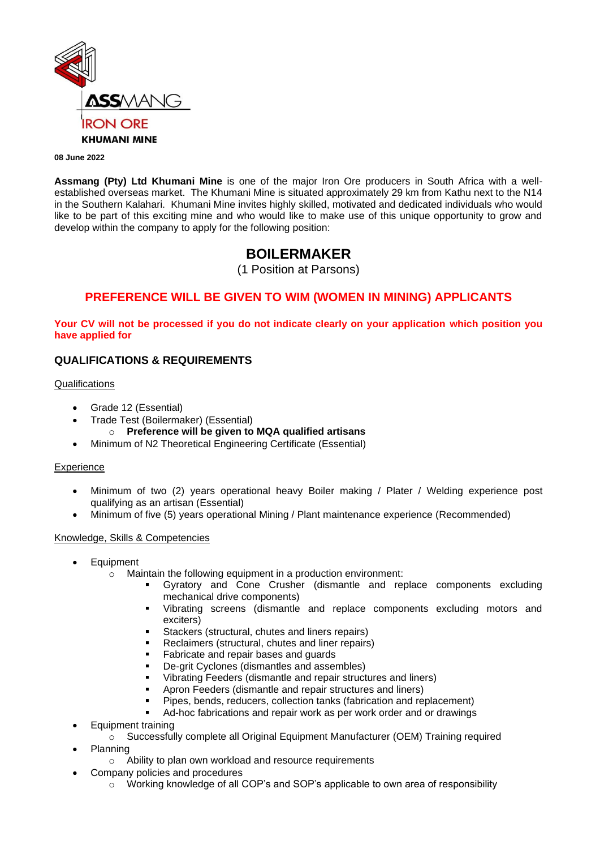

#### **08 June 2022**

**Assmang (Pty) Ltd Khumani Mine** is one of the major Iron Ore producers in South Africa with a wellestablished overseas market. The Khumani Mine is situated approximately 29 km from Kathu next to the N14 in the Southern Kalahari. Khumani Mine invites highly skilled, motivated and dedicated individuals who would like to be part of this exciting mine and who would like to make use of this unique opportunity to grow and develop within the company to apply for the following position:

# **BOILERMAKER**

(1 Position at Parsons)

## **PREFERENCE WILL BE GIVEN TO WIM (WOMEN IN MINING) APPLICANTS**

**Your CV will not be processed if you do not indicate clearly on your application which position you have applied for**

## **QUALIFICATIONS & REQUIREMENTS**

#### Qualifications

- Grade 12 (Essential)
- Trade Test (Boilermaker) (Essential)
	- o **Preference will be given to MQA qualified artisans**
- Minimum of N2 Theoretical Engineering Certificate (Essential)

#### Experience

- Minimum of two (2) years operational heavy Boiler making / Plater / Welding experience post qualifying as an artisan (Essential)
- Minimum of five (5) years operational Mining / Plant maintenance experience (Recommended)

#### Knowledge, Skills & Competencies

- **Equipment** 
	- o Maintain the following equipment in a production environment:
		- Gyratory and Cone Crusher (dismantle and replace components excluding mechanical drive components)
		- Vibrating screens (dismantle and replace components excluding motors and exciters)
		- Stackers (structural, chutes and liners repairs)
		- Reclaimers (structural, chutes and liner repairs)
		- Fabricate and repair bases and guards
		- De-grit Cyclones (dismantles and assembles)
		- Vibrating Feeders (dismantle and repair structures and liners)
		- Apron Feeders (dismantle and repair structures and liners)
		- Pipes, bends, reducers, collection tanks (fabrication and replacement)
		- Ad-hoc fabrications and repair work as per work order and or drawings
- Equipment training
	- o Successfully complete all Original Equipment Manufacturer (OEM) Training required
- Planning
	- o Ability to plan own workload and resource requirements
	- Company policies and procedures
		- $\circ$  Working knowledge of all COP's and SOP's applicable to own area of responsibility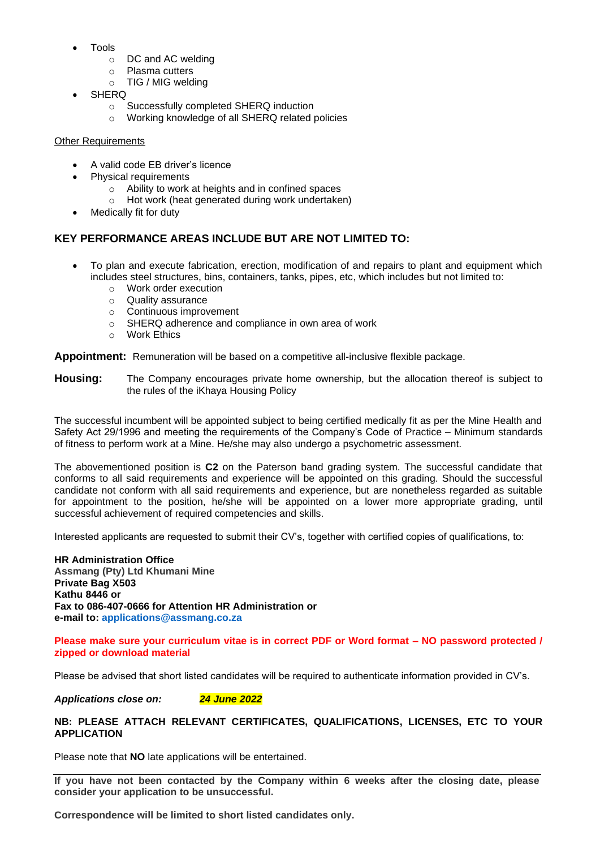- Tools
	- o DC and AC welding
	- o Plasma cutters
	- o TIG / MIG welding
- **SHERQ** 
	- o Successfully completed SHERQ induction
	- o Working knowledge of all SHERQ related policies

#### Other Requirements

- A valid code EB driver's licence
- Physical requirements
	- o Ability to work at heights and in confined spaces
	- o Hot work (heat generated during work undertaken)
- Medically fit for duty

## **KEY PERFORMANCE AREAS INCLUDE BUT ARE NOT LIMITED TO:**

- To plan and execute fabrication, erection, modification of and repairs to plant and equipment which includes steel structures, bins, containers, tanks, pipes, etc, which includes but not limited to:
	- o Work order execution
	- o Quality assurance
	- o Continuous improvement
	- $\circ$  SHERQ adherence and compliance in own area of work
	- o Work Ethics

**Appointment:** Remuneration will be based on a competitive all-inclusive flexible package.

**Housing:** The Company encourages private home ownership, but the allocation thereof is subject to the rules of the iKhaya Housing Policy

The successful incumbent will be appointed subject to being certified medically fit as per the Mine Health and Safety Act 29/1996 and meeting the requirements of the Company's Code of Practice – Minimum standards of fitness to perform work at a Mine. He/she may also undergo a psychometric assessment.

The abovementioned position is **C2** on the Paterson band grading system. The successful candidate that conforms to all said requirements and experience will be appointed on this grading. Should the successful candidate not conform with all said requirements and experience, but are nonetheless regarded as suitable for appointment to the position, he/she will be appointed on a lower more appropriate grading, until successful achievement of required competencies and skills.

Interested applicants are requested to submit their CV's, together with certified copies of qualifications, to:

**HR Administration Office Assmang (Pty) Ltd Khumani Mine Private Bag X503 Kathu 8446 or Fax to 086-407-0666 for Attention HR Administration or e-mail to: [applications@assmang.co.za](mailto:applications@assmang.co.za)**

#### **Please make sure your curriculum vitae is in correct PDF or Word format – NO password protected / zipped or download material**

Please be advised that short listed candidates will be required to authenticate information provided in CV's.

*Applications close on: 24 June 2022*

#### **NB: PLEASE ATTACH RELEVANT CERTIFICATES, QUALIFICATIONS, LICENSES, ETC TO YOUR APPLICATION**

Please note that **NO** late applications will be entertained.

**If you have not been contacted by the Company within 6 weeks after the closing date, please consider your application to be unsuccessful.**

**Correspondence will be limited to short listed candidates only.**